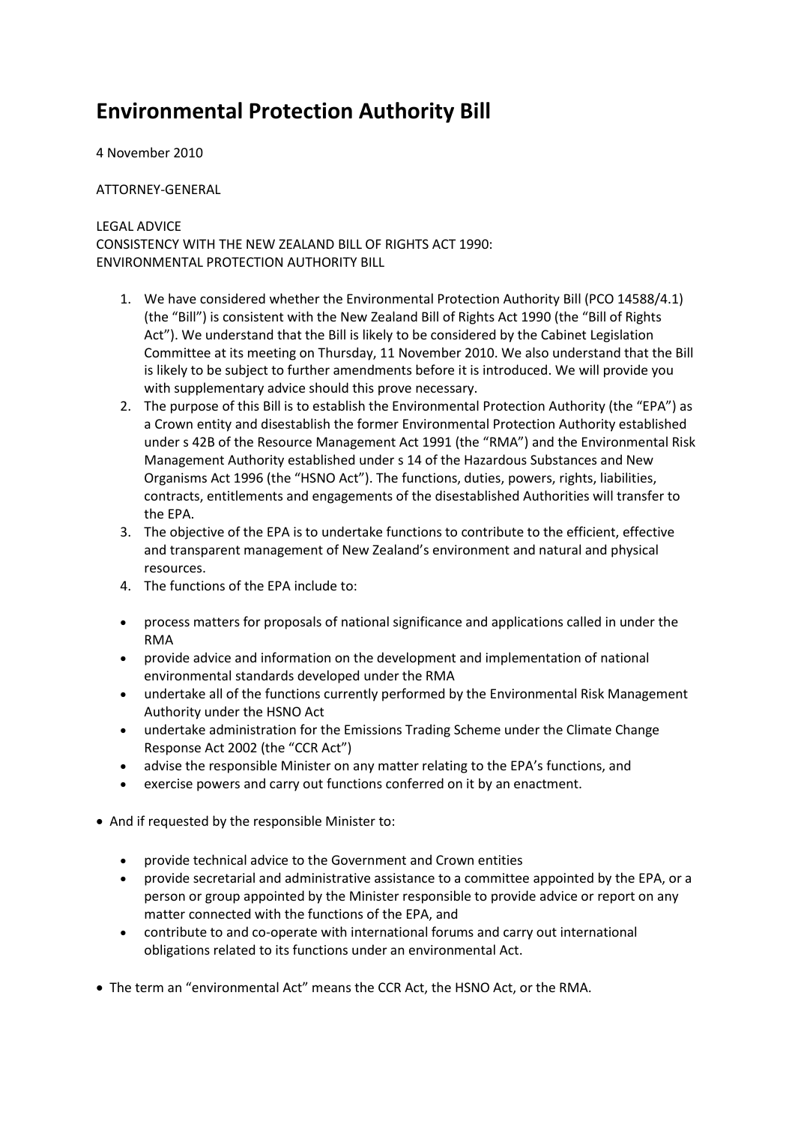## **Environmental Protection Authority Bill**

## 4 November 2010

## ATTORNEY-GENERAL

## LEGAL ADVICE

CONSISTENCY WITH THE NEW ZEALAND BILL OF RIGHTS ACT 1990: ENVIRONMENTAL PROTECTION AUTHORITY BILL

- 1. We have considered whether the Environmental Protection Authority Bill (PCO 14588/4.1) (the "Bill") is consistent with the New Zealand Bill of Rights Act 1990 (the "Bill of Rights Act"). We understand that the Bill is likely to be considered by the Cabinet Legislation Committee at its meeting on Thursday, 11 November 2010. We also understand that the Bill is likely to be subject to further amendments before it is introduced. We will provide you with supplementary advice should this prove necessary.
- 2. The purpose of this Bill is to establish the Environmental Protection Authority (the "EPA") as a Crown entity and disestablish the former Environmental Protection Authority established under s 42B of the Resource Management Act 1991 (the "RMA") and the Environmental Risk Management Authority established under s 14 of the Hazardous Substances and New Organisms Act 1996 (the "HSNO Act"). The functions, duties, powers, rights, liabilities, contracts, entitlements and engagements of the disestablished Authorities will transfer to the EPA.
- 3. The objective of the EPA is to undertake functions to contribute to the efficient, effective and transparent management of New Zealand's environment and natural and physical resources.
- 4. The functions of the EPA include to:
- process matters for proposals of national significance and applications called in under the RMA
- provide advice and information on the development and implementation of national environmental standards developed under the RMA
- undertake all of the functions currently performed by the Environmental Risk Management Authority under the HSNO Act
- undertake administration for the Emissions Trading Scheme under the Climate Change Response Act 2002 (the "CCR Act")
- advise the responsible Minister on any matter relating to the EPA's functions, and
- exercise powers and carry out functions conferred on it by an enactment.
- And if requested by the responsible Minister to:
	- provide technical advice to the Government and Crown entities
	- provide secretarial and administrative assistance to a committee appointed by the EPA, or a person or group appointed by the Minister responsible to provide advice or report on any matter connected with the functions of the EPA, and
	- contribute to and co-operate with international forums and carry out international obligations related to its functions under an environmental Act.
- The term an "environmental Act" means the CCR Act, the HSNO Act, or the RMA.